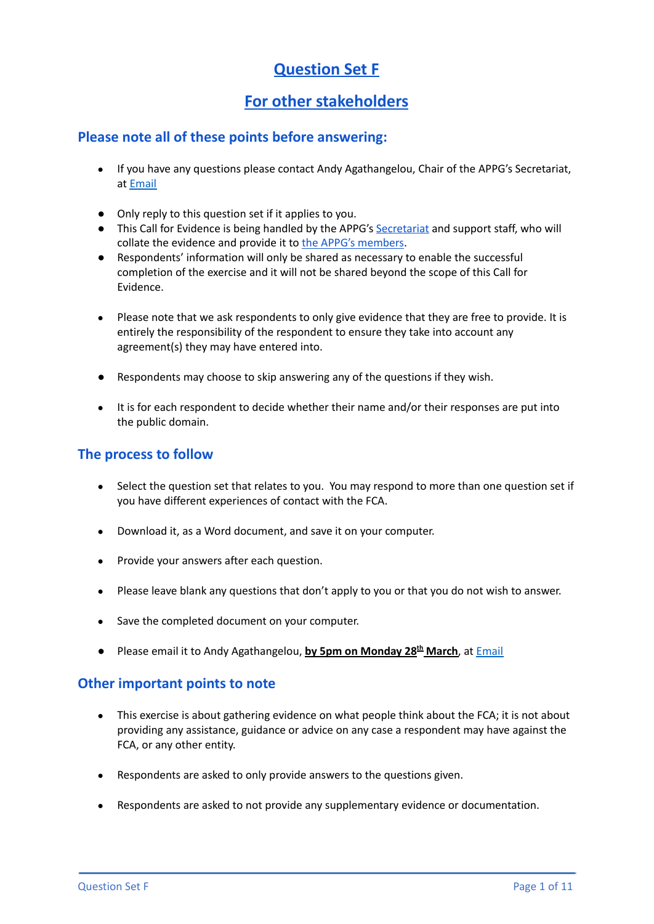# **Question Set F**

## **For other stakeholders**

### **Please note all of these points before answering:**

- If you have any questions please contact Andy Agathangelou, Chair of the APPG's Secretariat, at [Email](mailto:andy.agathangelou@transparencytaskforce.org?subject=%20My%20submission%20to%20the%20Call%20for%20Evidence%20about%20the%20FCA)
- Only reply to this question set if it applies to you.
- This Call for Evidence is being handled by the APPG's [Secretariat](https://appgonpersonalbankingandfairerfinancialservices.org/about-us/secretariat) and support staff, who will collate the evidence and provide it to the APPG's [members](https://appgonpersonalbankingandfairerfinancialservices.org/about-us/members).
- Respondents' information will only be shared as necessary to enable the successful completion of the exercise and it will not be shared beyond the scope of this Call for Evidence.
- Please note that we ask respondents to only give evidence that they are free to provide. It is entirely the responsibility of the respondent to ensure they take into account any agreement(s) they may have entered into.
- Respondents may choose to skip answering any of the questions if they wish.
- It is for each respondent to decide whether their name and/or their responses are put into the public domain.

## **The process to follow**

- Select the question set that relates to you. You may respond to more than one question set if you have different experiences of contact with the FCA.
- Download it, as a Word document, and save it on your computer.
- Provide your answers after each question.
- Please leave blank any questions that don't apply to you or that you do not wish to answer.
- Save the completed document on your computer.
- Please email it to Andy Agathangelou, **by 5pm on Monday 28 th March**, at [Email](mailto:andy.agathangelou@transparencytaskforce.org?subject=%20My%20submission%20to%20the%20Call%20for%20Evidence%20about%20the%20FCA)

### **Other important points to note**

- This exercise is about gathering evidence on what people think about the FCA; it is not about providing any assistance, guidance or advice on any case a respondent may have against the FCA, or any other entity.
- Respondents are asked to only provide answers to the questions given.
- Respondents are asked to not provide any supplementary evidence or documentation.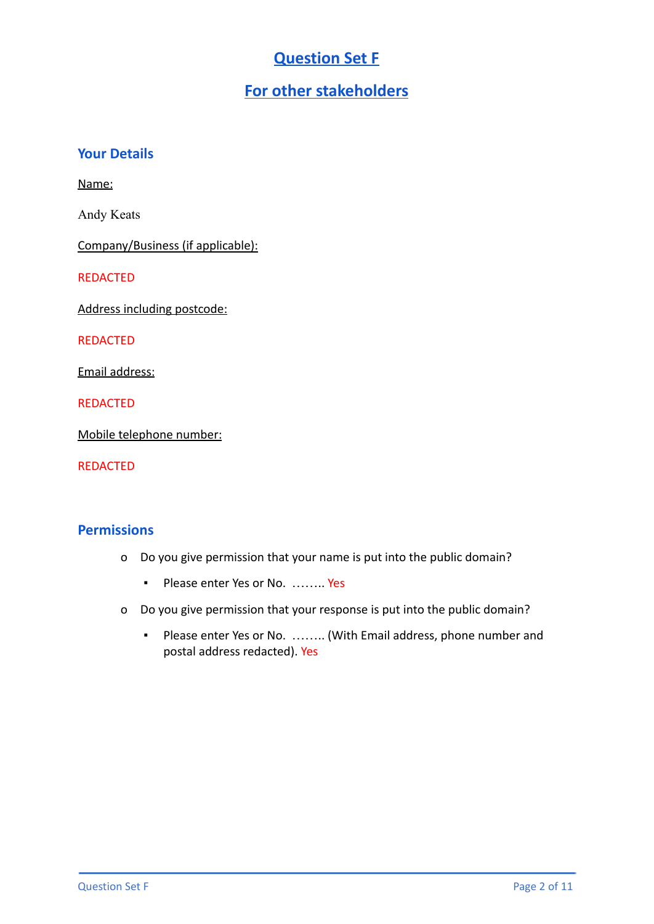# **Question Set F**

## **For other stakeholders**

### **Your Details**

Name:

Andy Keats

Company/Business (if applicable):

REDACTED

Address including postcode:

REDACTED

Email address:

REDACTED

Mobile telephone number:

REDACTED

## **Permissions**

- o Do you give permission that your name is put into the public domain?
	- Please enter Yes or No. ……… Yes
- o Do you give permission that your response is put into the public domain?
	- Please enter Yes or No. …….. (With Email address, phone number and postal address redacted). Yes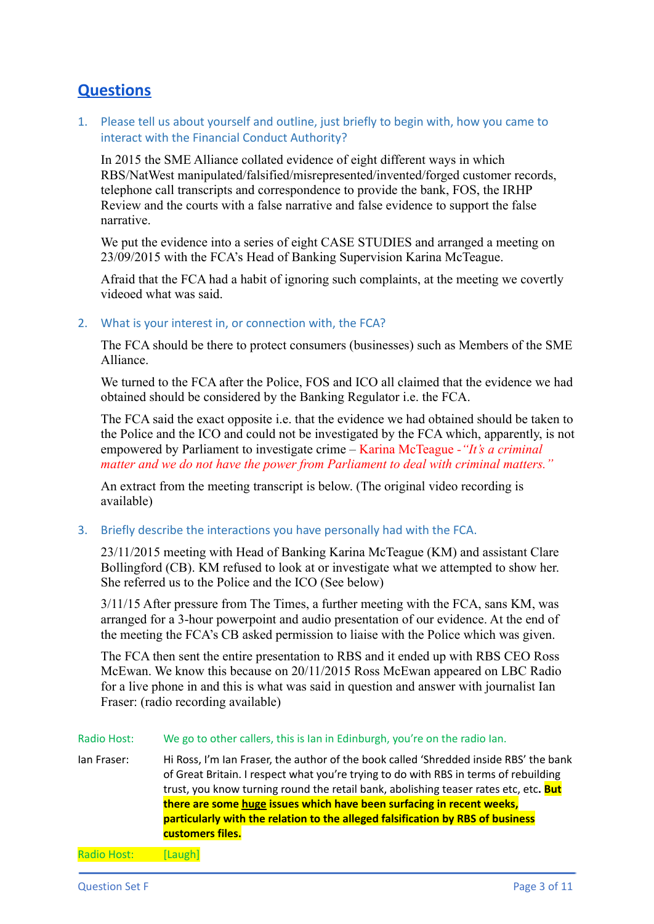## **Questions**

1. Please tell us about yourself and outline, just briefly to begin with, how you came to interact with the Financial Conduct Authority?

In 2015 the SME Alliance collated evidence of eight different ways in which RBS/NatWest manipulated/falsified/misrepresented/invented/forged customer records, telephone call transcripts and correspondence to provide the bank, FOS, the IRHP Review and the courts with a false narrative and false evidence to support the false narrative.

We put the evidence into a series of eight CASE STUDIES and arranged a meeting on 23/09/2015 with the FCA's Head of Banking Supervision Karina McTeague.

Afraid that the FCA had a habit of ignoring such complaints, at the meeting we covertly videoed what was said.

#### 2. What is your interest in, or connection with, the FCA?

The FCA should be there to protect consumers (businesses) such as Members of the SME Alliance.

We turned to the FCA after the Police, FOS and ICO all claimed that the evidence we had obtained should be considered by the Banking Regulator i.e. the FCA.

The FCA said the exact opposite i.e. that the evidence we had obtained should be taken to the Police and the ICO and could not be investigated by the FCA which, apparently, is not empowered by Parliament to investigate crime – Karina McTeague *-"It's a criminal matter and we do not have the power from Parliament to deal with criminal matters."*

An extract from the meeting transcript is below. (The original video recording is available)

3. Briefly describe the interactions you have personally had with the FCA.

23/11/2015 meeting with Head of Banking Karina McTeague (KM) and assistant Clare Bollingford (CB). KM refused to look at or investigate what we attempted to show her. She referred us to the Police and the ICO (See below)

3/11/15 After pressure from The Times, a further meeting with the FCA, sans KM, was arranged for a 3-hour powerpoint and audio presentation of our evidence. At the end of the meeting the FCA's CB asked permission to liaise with the Police which was given.

The FCA then sent the entire presentation to RBS and it ended up with RBS CEO Ross McEwan. We know this because on 20/11/2015 Ross McEwan appeared on LBC Radio for a live phone in and this is what was said in question and answer with journalist Ian Fraser: (radio recording available)

#### Radio Host: We go to other callers, this is Ian in Edinburgh, you're on the radio Ian.

Ian Fraser: Hi Ross, I'm Ian Fraser, the author of the book called 'Shredded inside RBS' the bank of Great Britain. I respect what you're trying to do with RBS in terms of rebuilding trust, you know turning round the retail bank, abolishing teaser rates etc, etc**. But there are some huge issues which have been surfacing in recent weeks, particularly with the relation to the alleged falsification by RBS of business customers files.**

Radio Host: [Laugh]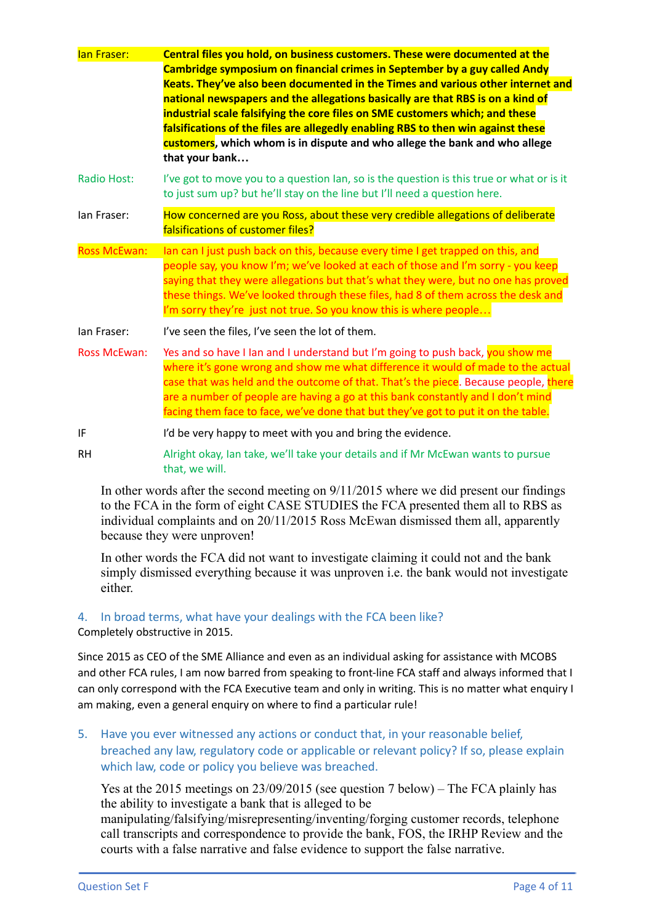| lan Fraser:         | Central files you hold, on business customers. These were documented at the<br>Cambridge symposium on financial crimes in September by a guy called Andy<br>Keats. They've also been documented in the Times and various other internet and<br>national newspapers and the allegations basically are that RBS is on a kind of<br>industrial scale falsifying the core files on SME customers which; and these<br>falsifications of the files are allegedly enabling RBS to then win against these<br>customers, which whom is in dispute and who allege the bank and who allege<br>that your bank |
|---------------------|---------------------------------------------------------------------------------------------------------------------------------------------------------------------------------------------------------------------------------------------------------------------------------------------------------------------------------------------------------------------------------------------------------------------------------------------------------------------------------------------------------------------------------------------------------------------------------------------------|
| Radio Host:         | I've got to move you to a question lan, so is the question is this true or what or is it<br>to just sum up? but he'll stay on the line but I'll need a question here.                                                                                                                                                                                                                                                                                                                                                                                                                             |
| lan Fraser:         | How concerned are you Ross, about these very credible allegations of deliberate<br>falsifications of customer files?                                                                                                                                                                                                                                                                                                                                                                                                                                                                              |
| <b>Ross McEwan:</b> | lan can I just push back on this, because every time I get trapped on this, and<br>people say, you know I'm; we've looked at each of those and I'm sorry - you keep<br>saying that they were allegations but that's what they were, but no one has proved<br>these things. We've looked through these files, had 8 of them across the desk and<br>I'm sorry they're just not true. So you know this is where people                                                                                                                                                                               |
| lan Fraser:         | I've seen the files, I've seen the lot of them.                                                                                                                                                                                                                                                                                                                                                                                                                                                                                                                                                   |
| <b>Ross McEwan:</b> | Yes and so have I Ian and I understand but I'm going to push back, you show me<br>where it's gone wrong and show me what difference it would of made to the actual<br>case that was held and the outcome of that. That's the piece. Because people, there<br>are a number of people are having a go at this bank constantly and I don't mind<br>facing them face to face, we've done that but they've got to put it on the table.                                                                                                                                                                 |
| IF                  | I'd be very happy to meet with you and bring the evidence.                                                                                                                                                                                                                                                                                                                                                                                                                                                                                                                                        |
| <b>RH</b>           | Alright okay, Ian take, we'll take your details and if Mr McEwan wants to pursue<br>that, we will.                                                                                                                                                                                                                                                                                                                                                                                                                                                                                                |
|                     |                                                                                                                                                                                                                                                                                                                                                                                                                                                                                                                                                                                                   |

In other words after the second meeting on 9/11/2015 where we did present our findings to the FCA in the form of eight CASE STUDIES the FCA presented them all to RBS as individual complaints and on 20/11/2015 Ross McEwan dismissed them all, apparently because they were unproven!

In other words the FCA did not want to investigate claiming it could not and the bank simply dismissed everything because it was unproven i.e. the bank would not investigate either.

## 4. In broad terms, what have your dealings with the FCA been like?

Completely obstructive in 2015.

Since 2015 as CEO of the SME Alliance and even as an individual asking for assistance with MCOBS and other FCA rules, I am now barred from speaking to front-line FCA staff and always informed that I can only correspond with the FCA Executive team and only in writing. This is no matter what enquiry I am making, even a general enquiry on where to find a particular rule!

5. Have you ever witnessed any actions or conduct that, in your reasonable belief, breached any law, regulatory code or applicable or relevant policy? If so, please explain which law, code or policy you believe was breached.

Yes at the 2015 meetings on 23/09/2015 (see question 7 below) – The FCA plainly has the ability to investigate a bank that is alleged to be manipulating/falsifying/misrepresenting/inventing/forging customer records, telephone call transcripts and correspondence to provide the bank, FOS, the IRHP Review and the courts with a false narrative and false evidence to support the false narrative.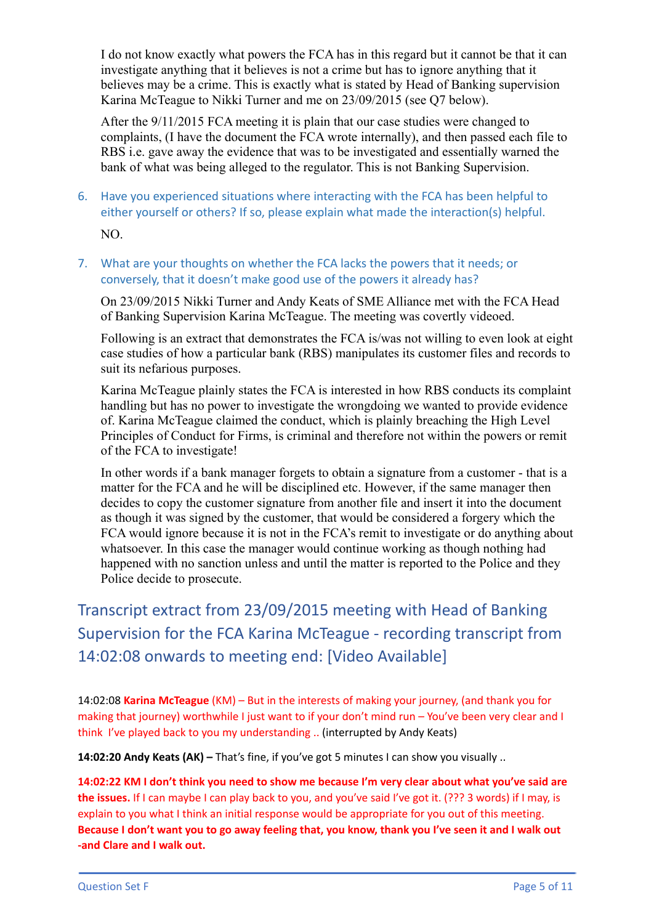I do not know exactly what powers the FCA has in this regard but it cannot be that it can investigate anything that it believes is not a crime but has to ignore anything that it believes may be a crime. This is exactly what is stated by Head of Banking supervision Karina McTeague to Nikki Turner and me on 23/09/2015 (see Q7 below).

After the 9/11/2015 FCA meeting it is plain that our case studies were changed to complaints, (I have the document the FCA wrote internally), and then passed each file to RBS i.e. gave away the evidence that was to be investigated and essentially warned the bank of what was being alleged to the regulator. This is not Banking Supervision.

- 6. Have you experienced situations where interacting with the FCA has been helpful to either yourself or others? If so, please explain what made the interaction(s) helpful. NO.
- 7. What are your thoughts on whether the FCA lacks the powers that it needs; or conversely, that it doesn't make good use of the powers it already has?

On 23/09/2015 Nikki Turner and Andy Keats of SME Alliance met with the FCA Head of Banking Supervision Karina McTeague. The meeting was covertly videoed.

Following is an extract that demonstrates the FCA is/was not willing to even look at eight case studies of how a particular bank (RBS) manipulates its customer files and records to suit its nefarious purposes.

Karina McTeague plainly states the FCA is interested in how RBS conducts its complaint handling but has no power to investigate the wrongdoing we wanted to provide evidence of. Karina McTeague claimed the conduct, which is plainly breaching the High Level Principles of Conduct for Firms, is criminal and therefore not within the powers or remit of the FCA to investigate!

In other words if a bank manager forgets to obtain a signature from a customer - that is a matter for the FCA and he will be disciplined etc. However, if the same manager then decides to copy the customer signature from another file and insert it into the document as though it was signed by the customer, that would be considered a forgery which the FCA would ignore because it is not in the FCA's remit to investigate or do anything about whatsoever. In this case the manager would continue working as though nothing had happened with no sanction unless and until the matter is reported to the Police and they Police decide to prosecute.

Transcript extract from 23/09/2015 meeting with Head of Banking Supervision for the FCA Karina McTeague - recording transcript from 14:02:08 onwards to meeting end: [Video Available]

14:02:08 **Karina McTeague** (KM) – But in the interests of making your journey, (and thank you for making that journey) worthwhile I just want to if your don't mind run – You've been very clear and I think I've played back to you my understanding .. (interrupted by Andy Keats)

**14:02:20 Andy Keats (AK) –** That's fine, if you've got 5 minutes I can show you visually ..

14:02:22 KM I don't think you need to show me because I'm very clear about what you've said are **the issues.** If I can maybe I can play back to you, and you've said I've got it. (??? 3 words) if I may, is explain to you what I think an initial response would be appropriate for you out of this meeting. Because I don't want you to go away feeling that, you know, thank you I've seen it and I walk out **-and Clare and I walk out.**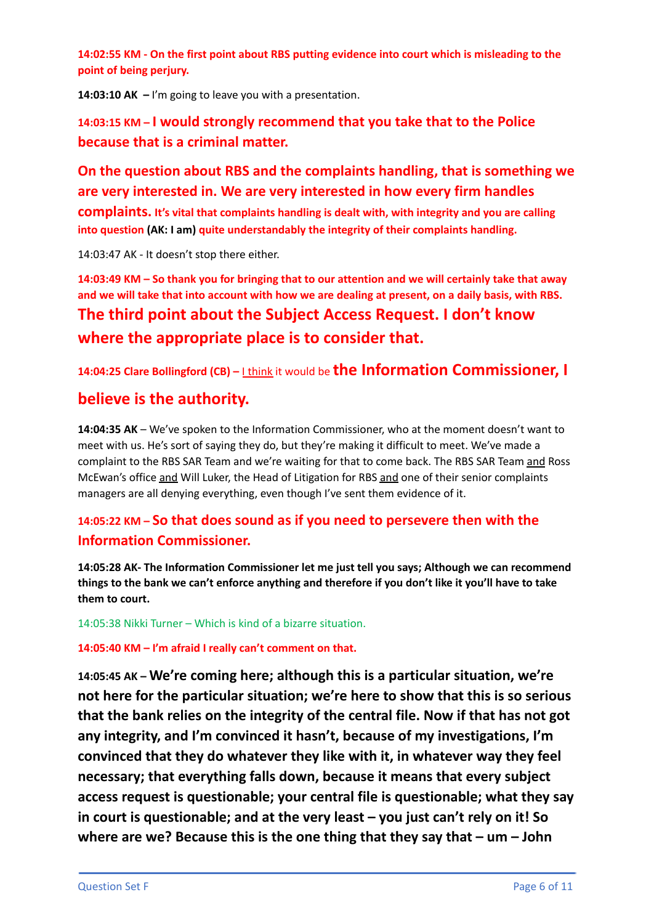**14:02:55 KM - On the first point about RBS putting evidence into court which is misleading to the point of being perjury.**

**14:03:10 AK –** I'm going to leave you with a presentation.

**14:03:15 KM – I would strongly recommend that you take that to the Police because that is a criminal matter.**

**On the question about RBS and the complaints handling, that is something we are very interested in. We are very interested in how every firm handles complaints. It's vital that complaints handling is dealt with, with integrity and you are calling into question (AK: I am) quite understandably the integrity of their complaints handling.**

14:03:47 AK - It doesn't stop there either.

14:03:49 KM - So thank you for bringing that to our attention and we will certainly take that away and we will take that into account with how we are dealing at present, on a daily basis, with RBS. **The third point about the Subject Access Request. I don't know where the appropriate place is to consider that.**

**14:04:25 Clare Bollingford (CB) –** <sup>I</sup> think it would be **the Information Commissioner, I**

## **believe is the authority.**

**14:04:35 AK** – We've spoken to the Information Commissioner, who at the moment doesn't want to meet with us. He's sort of saying they do, but they're making it difficult to meet. We've made a complaint to the RBS SAR Team and we're waiting for that to come back. The RBS SAR Team and Ross McEwan's office and Will Luker, the Head of Litigation for RBS and one of their senior complaints managers are all denying everything, even though I've sent them evidence of it.

## **14:05:22 KM – So that does sound as if you need to persevere then with the Information Commissioner.**

**14:05:28 AK- The Information Commissioner let me just tell you says; Although we can recommend** things to the bank we can't enforce anything and therefore if you don't like it you'll have to take **them to court.**

14:05:38 Nikki Turner – Which is kind of a bizarre situation.

**14:05:40 KM – I'm afraid I really can't comment on that.**

**14:05:45 AK – We're coming here; although this is a particular situation, we're not here for the particular situation; we're here to show that this is so serious that the bank relies on the integrity of the central file. Now if that has not got any integrity, and I'm convinced it hasn't, because of my investigations, I'm convinced that they do whatever they like with it, in whatever way they feel necessary; that everything falls down, because it means that every subject access request is questionable; your central file is questionable; what they say in court is questionable; and at the very least – you just can't rely on it! So where are we? Because this is the one thing that they say that – um – John**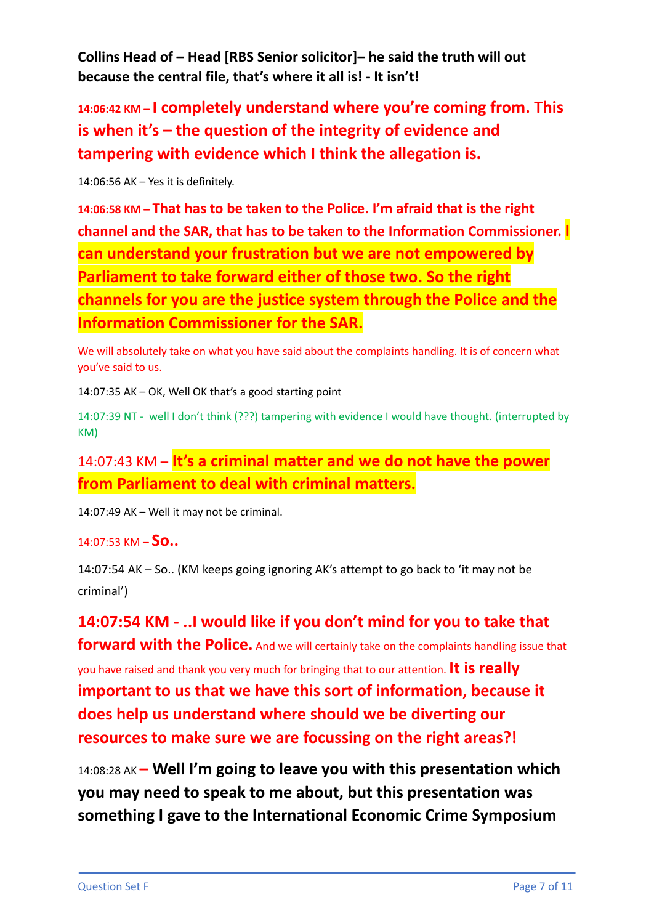**Collins Head of – Head [RBS Senior solicitor]– he said the truth will out because the central file, that's where it all is! - It isn't!**

**14:06:42 KM – I completely understand where you're coming from. This is when it's – the question of the integrity of evidence and tampering with evidence which I think the allegation is.**

14:06:56 AK – Yes it is definitely.

**14:06:58 KM – That has to be taken to the Police. I'm afraid that is the right channel and the SAR, that has to be taken to the Information Commissioner. I can understand your frustration but we are not empowered by Parliament to take forward either of those two. So the right channels for you are the justice system through the Police and the Information Commissioner for the SAR.**

We will absolutely take on what you have said about the complaints handling. It is of concern what you've said to us.

14:07:35 AK – OK, Well OK that's a good starting point

14:07:39 NT - well I don't think (???) tampering with evidence I would have thought. (interrupted by KM)

14:07:43 KM – **It's a criminal matter and we do not have the power from Parliament to deal with criminal matters.**

14:07:49 AK – Well it may not be criminal.

### 14:07:53 KM – **So..**

14:07:54 AK – So.. (KM keeps going ignoring AK's attempt to go back to 'it may not be criminal')

**14:07:54 KM - ..I would like if you don't mind for you to take that forward with the Police.** And we will certainly take on the complaints handling issue that you have raised and thank you very much for bringing that to our attention. **It is really important to us that we have this sort of information, because it does help us understand where should we be diverting our resources to make sure we are focussing on the right areas?!**

14:08:28 AK **– Well I'm going to leave you with this presentation which you may need to speak to me about, but this presentation was something I gave to the International Economic Crime Symposium**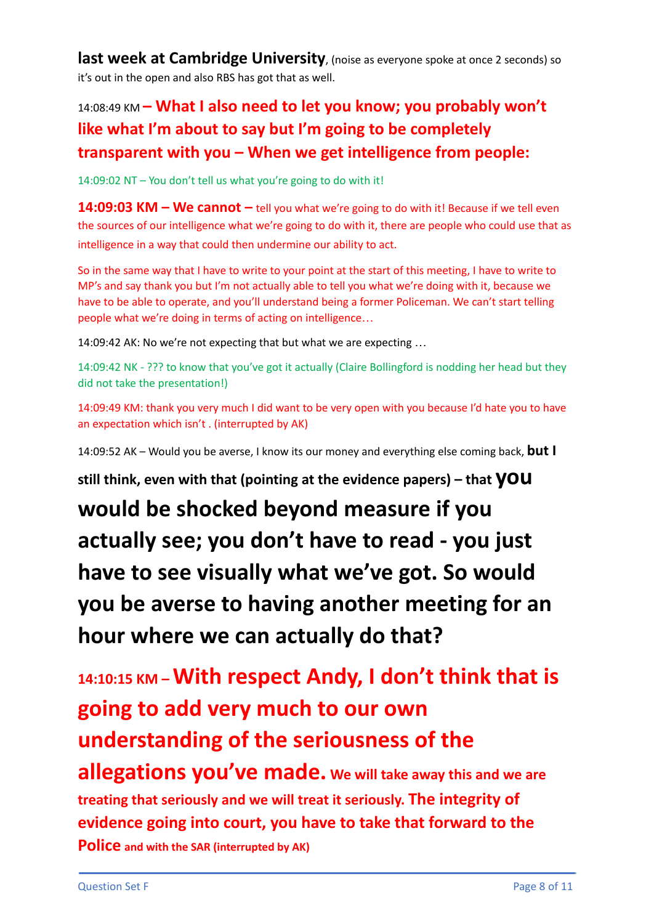**last week at Cambridge University**, (noise as everyone spoke at once <sup>2</sup> seconds) so it's out in the open and also RBS has got that as well.

# 14:08:49 KM **– What I also need to let you know; you probably won't like what I'm about to say but I'm going to be completely transparent with you – When we get intelligence from people:**

14:09:02 NT – You don't tell us what you're going to do with it!

**14:09:03 KM – We cannot –** tell you what we're going to do with it! Because if we tell even the sources of our intelligence what we're going to do with it, there are people who could use that as intelligence in a way that could then undermine our ability to act.

So in the same way that I have to write to your point at the start of this meeting, I have to write to MP's and say thank you but I'm not actually able to tell you what we're doing with it, because we have to be able to operate, and you'll understand being a former Policeman. We can't start telling people what we're doing in terms of acting on intelligence…

14:09:42 AK: No we're not expecting that but what we are expecting …

14:09:42 NK - ??? to know that you've got it actually (Claire Bollingford is nodding her head but they did not take the presentation!)

14:09:49 KM: thank you very much I did want to be very open with you because I'd hate you to have an expectation which isn't . (interrupted by AK)

14:09:52 AK – Would you be averse, I know its our money and everything else coming back, **but I**

**still think, even with that (pointing at the evidence papers) – that you**

**would be shocked beyond measure if you actually see; you don't have to read - you just have to see visually what we've got. So would you be averse to having another meeting for an hour where we can actually do that?**

**14:10:15 KM –With respect Andy, I don't think that is going to add very much to our own understanding of the seriousness of the allegations you've made. We will take away this and we are treating that seriously and we will treat it seriously. The integrity of evidence going into court, you have to take that forward to the Police and with the SAR (interrupted by AK)**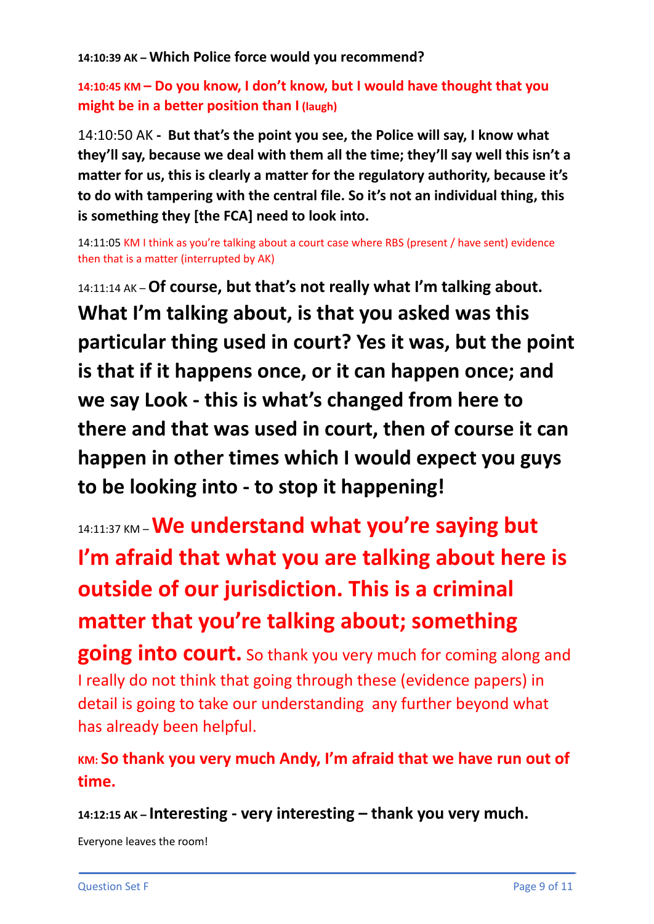**14:10:39 AK – Which Police force would you recommend?**

## **14:10:45 KM – Do you know, I don't know, but I would have thought that you might be in a better position than I (laugh)**

14:10:50 AK **- But that's the point you see, the Police will say, I know what they'll say, because we deal with them all the time; they'll say well this isn't a matter for us, this is clearly a matter for the regulatory authority, because it's to do with tampering with the central file. So it's not an individual thing, this is something they [the FCA] need to look into.**

14:11:05 KM I think as you're talking about a court case where RBS (present / have sent) evidence then that is a matter (interrupted by AK)

14:11:14 AK –**Of course, but that's not really what I'm talking about. What I'm talking about, is that you asked was this particular thing used in court? Yes it was, but the point is that if it happens once, or it can happen once; and we say Look - this is what's changed from here to there and that was used in court, then of course it can happen in other times which I would expect you guys to be looking into - to stop it happening!**

14:11:37 KM –**We understand what you're saying but I'm afraid that what you are talking about here is outside of our jurisdiction. This is a criminal matter that you're talking about; something**

**going into court.** So thank you very much for coming along and I really do not think that going through these (evidence papers) in detail is going to take our understanding any further beyond what has already been helpful.

**KM: So thank you very much Andy, I'm afraid that we have run out of time.**

**14:12:15 AK – Interesting - very interesting – thank you very much.**

Everyone leaves the room!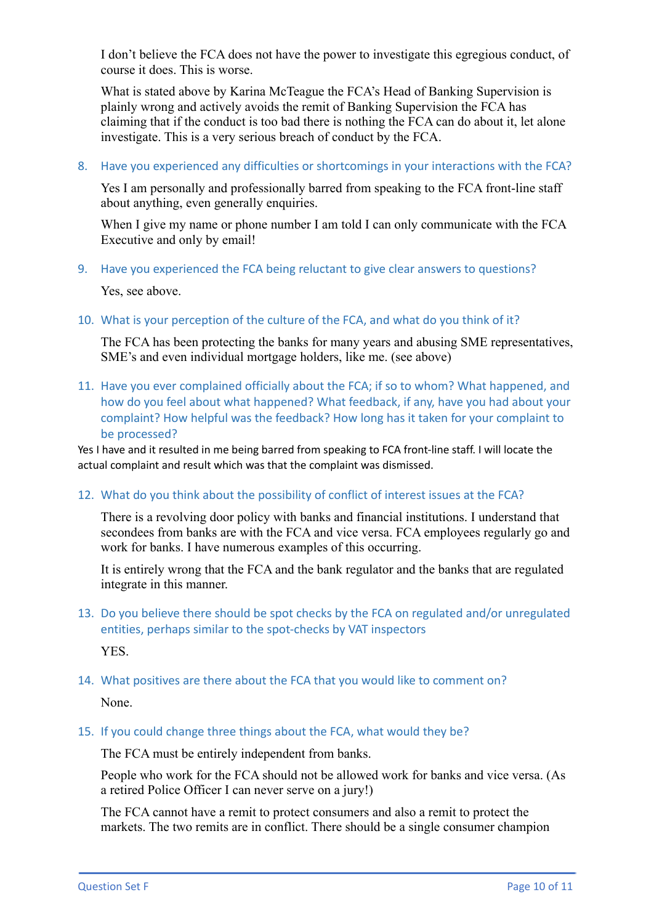I don't believe the FCA does not have the power to investigate this egregious conduct, of course it does. This is worse.

What is stated above by Karina McTeague the FCA's Head of Banking Supervision is plainly wrong and actively avoids the remit of Banking Supervision the FCA has claiming that if the conduct is too bad there is nothing the FCA can do about it, let alone investigate. This is a very serious breach of conduct by the FCA.

8. Have you experienced any difficulties or shortcomings in your interactions with the FCA?

Yes I am personally and professionally barred from speaking to the FCA front-line staff about anything, even generally enquiries.

When I give my name or phone number I am told I can only communicate with the FCA Executive and only by email!

9. Have you experienced the FCA being reluctant to give clear answers to questions?

Yes, see above.

10. What is your perception of the culture of the FCA, and what do you think of it?

The FCA has been protecting the banks for many years and abusing SME representatives, SME's and even individual mortgage holders, like me. (see above)

11. Have you ever complained officially about the FCA; if so to whom? What happened, and how do you feel about what happened? What feedback, if any, have you had about your complaint? How helpful was the feedback? How long has it taken for your complaint to be processed?

Yes I have and it resulted in me being barred from speaking to FCA front-line staff. I will locate the actual complaint and result which was that the complaint was dismissed.

12. What do you think about the possibility of conflict of interest issues at the FCA?

There is a revolving door policy with banks and financial institutions. I understand that secondees from banks are with the FCA and vice versa. FCA employees regularly go and work for banks. I have numerous examples of this occurring.

It is entirely wrong that the FCA and the bank regulator and the banks that are regulated integrate in this manner.

13. Do you believe there should be spot checks by the FCA on regulated and/or unregulated entities, perhaps similar to the spot-checks by VAT inspectors

YES.

14. What positives are there about the FCA that you would like to comment on?

None.

15. If you could change three things about the FCA, what would they be?

The FCA must be entirely independent from banks.

People who work for the FCA should not be allowed work for banks and vice versa. (As a retired Police Officer I can never serve on a jury!)

The FCA cannot have a remit to protect consumers and also a remit to protect the markets. The two remits are in conflict. There should be a single consumer champion